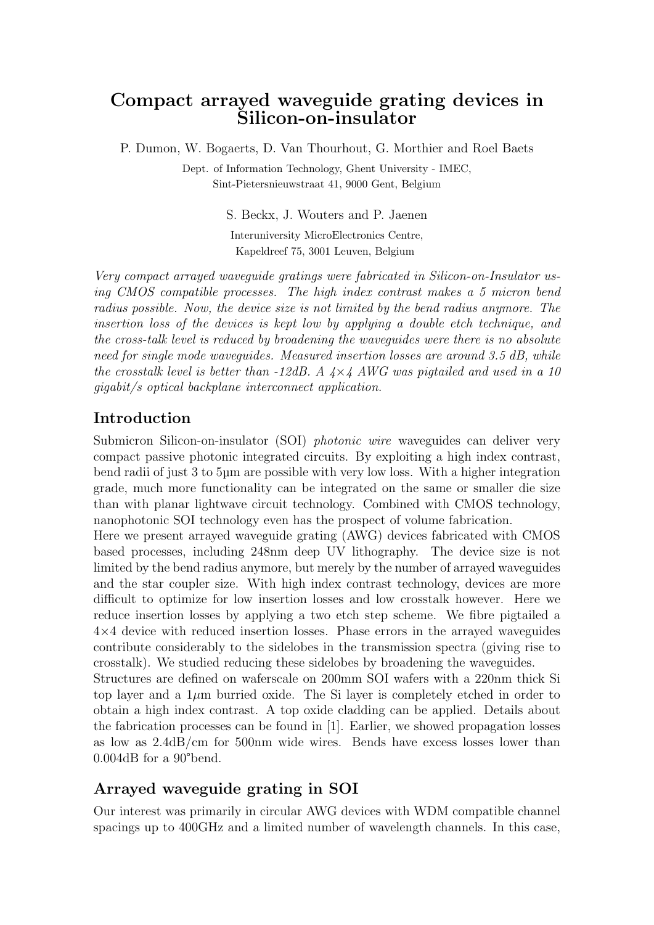# Compact arrayed waveguide grating devices in Silicon-on-insulator

P. Dumon, W. Bogaerts, D. Van Thourhout, G. Morthier and Roel Baets

Dept. of Information Technology, Ghent University - IMEC, Sint-Pietersnieuwstraat 41, 9000 Gent, Belgium

> S. Beckx, J. Wouters and P. Jaenen Interuniversity MicroElectronics Centre, Kapeldreef 75, 3001 Leuven, Belgium

Very compact arrayed waveguide gratings were fabricated in Silicon-on-Insulator using CMOS compatible processes. The high index contrast makes a 5 micron bend radius possible. Now, the device size is not limited by the bend radius anymore. The insertion loss of the devices is kept low by applying a double etch technique, and the cross-talk level is reduced by broadening the waveguides were there is no absolute need for single mode waveguides. Measured insertion losses are around 3.5 dB, while the crosstalk level is better than  $-12$ dB. A  $4\times4$  AWG was pigtailed and used in a 10 gigabit/s optical backplane interconnect application.

## Introduction

Submicron Silicon-on-insulator (SOI) photonic wire waveguides can deliver very compact passive photonic integrated circuits. By exploiting a high index contrast, bend radii of just 3 to 5µm are possible with very low loss. With a higher integration grade, much more functionality can be integrated on the same or smaller die size than with planar lightwave circuit technology. Combined with CMOS technology, nanophotonic SOI technology even has the prospect of volume fabrication.

Here we present arrayed waveguide grating (AWG) devices fabricated with CMOS based processes, including 248nm deep UV lithography. The device size is not limited by the bend radius anymore, but merely by the number of arrayed waveguides and the star coupler size. With high index contrast technology, devices are more difficult to optimize for low insertion losses and low crosstalk however. Here we reduce insertion losses by applying a two etch step scheme. We fibre pigtailed a 4×4 device with reduced insertion losses. Phase errors in the arrayed waveguides contribute considerably to the sidelobes in the transmission spectra (giving rise to crosstalk). We studied reducing these sidelobes by broadening the waveguides.

Structures are defined on waferscale on 200mm SOI wafers with a 220nm thick Si top layer and a  $1\mu$ m burried oxide. The Si layer is completely etched in order to obtain a high index contrast. A top oxide cladding can be applied. Details about the fabrication processes can be found in [1]. Earlier, we showed propagation losses as low as 2.4dB/cm for 500nm wide wires. Bends have excess losses lower than 0.004dB for a 90°bend.

## Arrayed waveguide grating in SOI

Our interest was primarily in circular AWG devices with WDM compatible channel spacings up to 400GHz and a limited number of wavelength channels. In this case,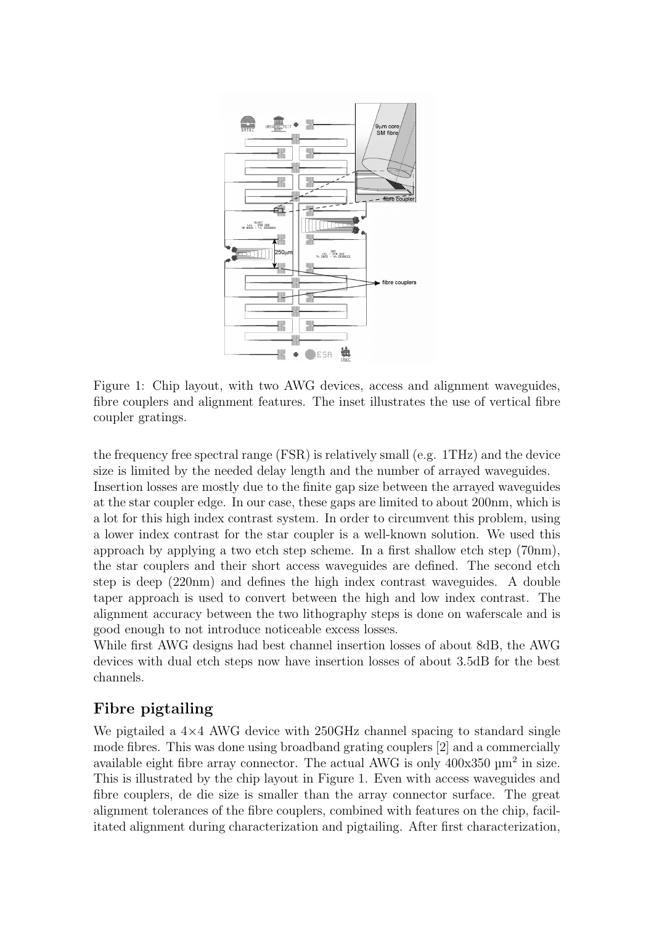

Figure 1: Chip layout, with two AWG devices, access and alignment waveguides, fibre couplers and alignment features. The inset illustrates the use of vertical fibre coupler gratings.

the frequency free spectral range (FSR) is relatively small (e.g. 1THz) and the device size is limited by the needed delay length and the number of arrayed waveguides. Insertion losses are mostly due to the finite gap size between the arrayed waveguides at the star coupler edge. In our case, these gaps are limited to about 200nm, which is a lot for this high index contrast system. In order to circumvent this problem, using a lower index contrast for the star coupler is a well-known solution. We used this approach by applying a two etch step scheme. In a first shallow etch step (70nm), the star couplers and their short access waveguides are defined. The second etch step is deep (220nm) and defines the high index contrast waveguides. A double taper approach is used to convert between the high and low index contrast. The alignment accuracy between the two lithography steps is done on waferscale and is good enough to not introduce noticeable excess losses.

While first AWG designs had best channel insertion losses of about 8dB, the AWG devices with dual etch steps now have insertion losses of about 3.5dB for the best channels.

## Fibre pigtailing

We pigtailed a  $4\times4$  AWG device with 250GHz channel spacing to standard single mode fibres. This was done using broadband grating couplers [2] and a commercially available eight fibre array connector. The actual AWG is only  $400x350 \mu m^2$  in size. This is illustrated by the chip layout in Figure 1. Even with access waveguides and fibre couplers, de die size is smaller than the array connector surface. The great alignment tolerances of the fibre couplers, combined with features on the chip, facilitated alignment during characterization and pigtailing. After first characterization,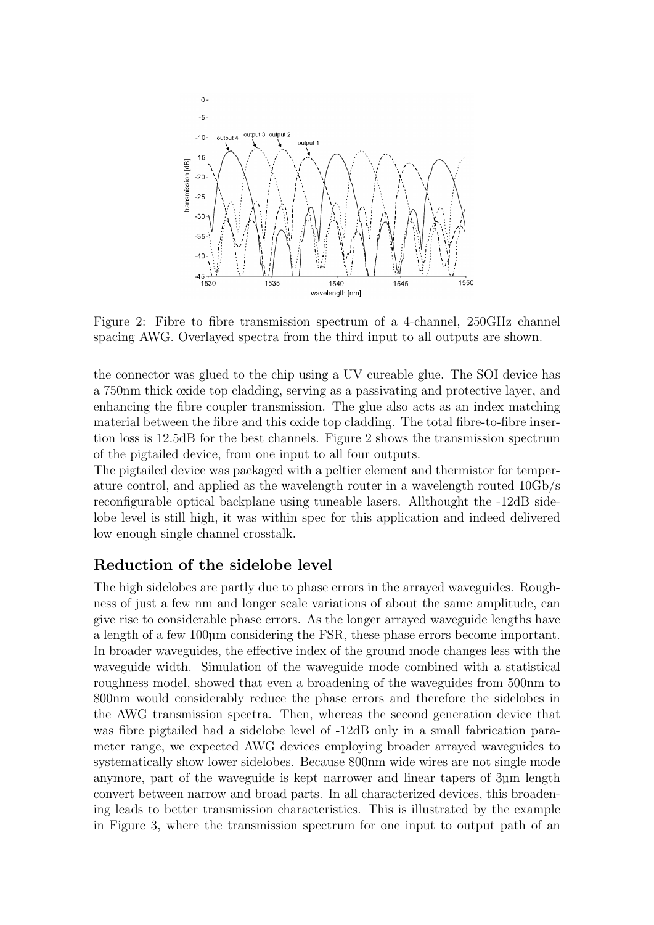

Figure 2: Fibre to fibre transmission spectrum of a 4-channel, 250GHz channel spacing AWG. Overlayed spectra from the third input to all outputs are shown.

the connector was glued to the chip using a UV cureable glue. The SOI device has a 750nm thick oxide top cladding, serving as a passivating and protective layer, and enhancing the fibre coupler transmission. The glue also acts as an index matching material between the fibre and this oxide top cladding. The total fibre-to-fibre insertion loss is 12.5dB for the best channels. Figure 2 shows the transmission spectrum of the pigtailed device, from one input to all four outputs.

The pigtailed device was packaged with a peltier element and thermistor for temperature control, and applied as the wavelength router in a wavelength routed 10Gb/s reconfigurable optical backplane using tuneable lasers. Allthought the -12dB sidelobe level is still high, it was within spec for this application and indeed delivered low enough single channel crosstalk.

#### Reduction of the sidelobe level

The high sidelobes are partly due to phase errors in the arrayed waveguides. Roughness of just a few nm and longer scale variations of about the same amplitude, can give rise to considerable phase errors. As the longer arrayed waveguide lengths have a length of a few 100µm considering the FSR, these phase errors become important. In broader waveguides, the effective index of the ground mode changes less with the waveguide width. Simulation of the waveguide mode combined with a statistical roughness model, showed that even a broadening of the waveguides from 500nm to 800nm would considerably reduce the phase errors and therefore the sidelobes in the AWG transmission spectra. Then, whereas the second generation device that was fibre pigtailed had a sidelobe level of  $-12$ dB only in a small fabrication parameter range, we expected AWG devices employing broader arrayed waveguides to systematically show lower sidelobes. Because 800nm wide wires are not single mode anymore, part of the waveguide is kept narrower and linear tapers of 3µm length convert between narrow and broad parts. In all characterized devices, this broadening leads to better transmission characteristics. This is illustrated by the example in Figure 3, where the transmission spectrum for one input to output path of an